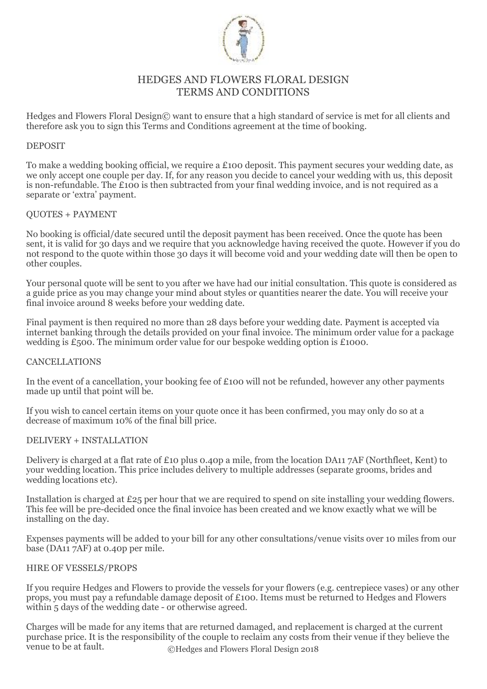

# HEDGES AND FLOWERS FLORAL DESIGN TERMS AND CONDITIONS

Hedges and Flowers Floral Design© want to ensure that a high standard of service is met for all clients and therefore ask you to sign this Terms and Conditions agreement at the time of booking.

# DEPOSIT

To make a wedding booking official, we require a £100 deposit. This payment secures your wedding date, as we only accept one couple per day. If, for any reason you decide to cancel your wedding with us, this deposit is non-refundable. The £100 is then subtracted from your final wedding invoice, and is not required as a separate or 'extra' payment.

# QUOTES + PAYMENT

No booking is official/date secured until the deposit payment has been received. Once the quote has been sent, it is valid for 30 days and we require that you acknowledge having received the quote. However if you do not respond to the quote within those 30 days it will become void and your wedding date will then be open to other couples.

Your personal quote will be sent to you after we have had our initial consultation. This quote is considered as a guide price as you may change your mind about styles or quantities nearer the date. You will receive your final invoice around 8 weeks before your wedding date.

Final payment is then required no more than 28 days before your wedding date. Payment is accepted via internet banking through the details provided on your final invoice. The minimum order value for a package wedding is £500. The minimum order value for our bespoke wedding option is £1000.

#### CANCELLATIONS

In the event of a cancellation, your booking fee of £100 will not be refunded, however any other payments made up until that point will be.

If you wish to cancel certain items on your quote once it has been confirmed, you may only do so at a decrease of maximum 10% of the final bill price.

#### DELIVERY + INSTALLATION

Delivery is charged at a flat rate of £10 plus 0.40p a mile, from the location DA11 7AF (Northfleet, Kent) to your wedding location. This price includes delivery to multiple addresses (separate grooms, brides and wedding locations etc).

Installation is charged at £25 per hour that we are required to spend on site installing your wedding flowers. This fee will be pre-decided once the final invoice has been created and we know exactly what we will be installing on the day.

Expenses payments will be added to your bill for any other consultations/venue visits over 10 miles from our base (DA11 7AF) at 0.40p per mile.

# HIRE OF VESSELS/PROPS

If you require Hedges and Flowers to provide the vessels for your flowers (e.g. centrepiece vases) or any other props, you must pay a refundable damage deposit of £100. Items must be returned to Hedges and Flowers within 5 days of the wedding date - or otherwise agreed.

©Hedges and Flowers Floral Design 2018 Charges will be made for any items that are returned damaged, and replacement is charged at the current purchase price. It is the responsibility of the couple to reclaim any costs from their venue if they believe the venue to be at fault.